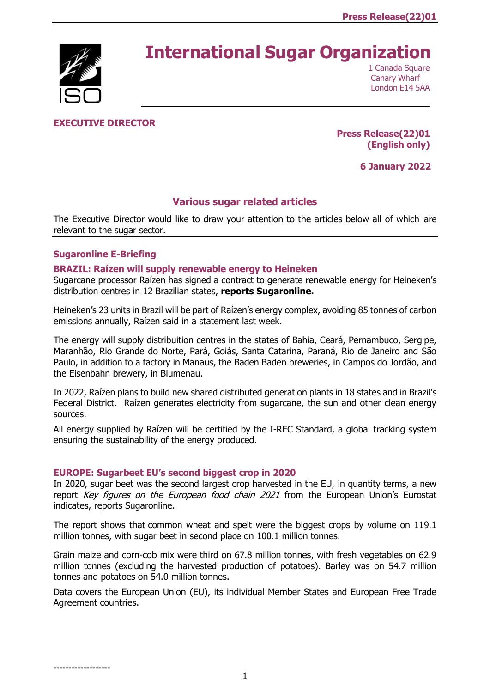# **International Sugar Organization**



1 Canada Square Canary Wharf London E14 5AA

# **EXECUTIVE DIRECTOR**

**Press Release(22)01 (English only)**

**6 January 2022**

# **Various sugar related articles**

The Executive Director would like to draw your attention to the articles below all of which are relevant to the sugar sector.

# **[Sugaronline E-Briefing](https://www.foodnavigator.com/Article/2021/12/15/Long-term-study-alludes-to-artificial-sweeteners-and-cognitive-decline-link?utm_source=copyright&utm_medium=OnSite&utm_campaign=copyright)**

-------------------

#### **[BRAZIL: Raízen will supply renewable energy to Heineken](https://www.sugaronline.com/2021/12/28/brazil-raizen-will-supply-renewable-energy-to-heineken/)**

Sugarcane processor Raízen has signed a contract to generate renewable energy for Heineken's distribution centres in 12 Brazilian states, **reports Sugaronline.**

Heineken's 23 units in Brazil will be part of Raízen's energy complex, avoiding 85 tonnes of carbon emissions annually, Raízen said in a statement last week.

The energy will supply distribuition centres in the states of Bahia, Ceará, Pernambuco, Sergipe, Maranhão, Rio Grande do Norte, Pará, Goiás, Santa Catarina, Paraná, Rio de Janeiro and São Paulo, in addition to a factory in Manaus, the Baden Baden breweries, in Campos do Jordão, and the Eisenbahn brewery, in Blumenau.

In 2022, Raízen plans to build new shared distributed generation plants in 18 states and in Brazil's Federal District. Raízen generates electricity from sugarcane, the sun and other clean energy sources.

All energy supplied by Raízen will be certified by the I-REC Standard, a global tracking system ensuring the sustainability of the energy produced.

#### **[EUROPE: Sugarbeet EU's second biggest crop in 2020](https://www.sugaronline.com/2021/12/29/europe-sugarbeet-eus-second-biggest-crop-in-2020/)**

In 2020, sugar beet was the second largest crop harvested in the EU, in quantity terms, a new report Key figures on the European food chain 2021 from the European Union's Eurostat indicates, reports Sugaronline.

The report shows that common wheat and spelt were the biggest crops by volume on 119.1 million tonnes, with sugar beet in second place on 100.1 million tonnes.

Grain maize and corn-cob mix were third on 67.8 million tonnes, with fresh vegetables on 62.9 million tonnes (excluding the harvested production of potatoes). Barley was on 54.7 million tonnes and potatoes on 54.0 million tonnes.

Data covers the European Union (EU), its individual Member States and European Free Trade Agreement countries.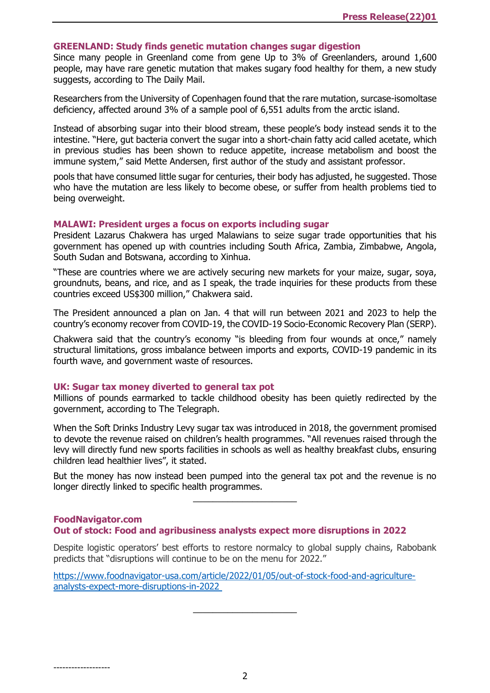#### **[GREENLAND: Study finds genetic mutation changes sugar digestion](https://www.sugaronline.com/2021/12/29/greenland-study-finds-genetic-mutation-changes-sugar-digestion/)**

Since many people in Greenland come from gene Up to 3% of Greenlanders, around 1,600 people, may have rare genetic mutation that makes sugary food healthy for them, a new study suggests, according to The Daily Mail.

Researchers from the University of Copenhagen found that the rare mutation, surcase-isomoltase deficiency, affected around 3% of a sample pool of 6,551 adults from the arctic island.

Instead of absorbing sugar into their blood stream, these people's body instead sends it to the intestine. "Here, gut bacteria convert the sugar into a short-chain fatty acid called acetate, which in previous studies has been shown to reduce appetite, increase metabolism and boost the immune system," said Mette Andersen, first author of the study and assistant professor.

pools that have consumed little sugar for centuries, their body has adjusted, he suggested. Those who have the mutation are less likely to become obese, or suffer from health problems tied to being overweight.

# **[MALAWI: President urges a focus on exports including sugar](https://www.sugaronline.com/2022/01/05/malawi-president-urges-a-focus-on-exports-including-sugar/)**

President Lazarus Chakwera has urged Malawians to seize sugar trade opportunities that his government has opened up with countries including South Africa, Zambia, Zimbabwe, Angola, South Sudan and Botswana, according to Xinhua.

"These are countries where we are actively securing new markets for your maize, sugar, soya, groundnuts, beans, and rice, and as I speak, the trade inquiries for these products from these countries exceed US\$300 million," Chakwera said.

The President announced a plan on Jan. 4 that will run between 2021 and 2023 to help the country's economy recover from COVID-19, the COVID-19 Socio-Economic Recovery Plan (SERP).

Chakwera said that the country's economy "is bleeding from four wounds at once," namely structural limitations, gross imbalance between imports and exports, COVID-19 pandemic in its fourth wave, and government waste of resources.

# **[UK: Sugar tax money diverted to general tax pot](https://www.sugaronline.com/2022/01/05/uk-sugar-tax-money-diverted-to-general-tax-pot/)**

-------------------

Millions of pounds earmarked to tackle childhood obesity has been quietly redirected by the government, according to The Telegraph.

When the Soft Drinks Industry Levy sugar tax was introduced in 2018, the government promised to devote the revenue raised on children's health programmes. "All revenues raised through the levy will directly fund new sports facilities in schools as well as healthy breakfast clubs, ensuring children lead healthier lives", it stated.

But the money has now instead been pumped into the general tax pot and the revenue is no longer directly linked to specific health programmes.

\_\_\_\_\_\_\_\_\_\_\_\_\_\_\_\_\_\_\_\_\_

#### **FoodNavigator.com [Out of stock: Food and agribusiness analysts expect more disruptions in 2022](https://www.foodnavigator-usa.com/Article/2022/01/05/Out-of-stock-Food-and-agriculture-analysts-expect-more-disruptions-in-2022?utm_source=copyright&utm_medium=OnSite&utm_campaign=copyright)**

Despite logistic operators' best efforts to restore normalcy to global supply chains, Rabobank predicts that "disruptions will continue to be on the menu for 2022."

 $\_$ 

[https://www.foodnavigator-usa.com/article/2022/01/05/out-of-stock-food-and-agriculture](https://www.foodnavigator-usa.com/Article/2022/01/05/Out-of-stock-Food-and-agriculture-analysts-expect-more-disruptions-in-2022?utm_source=copyright&utm_medium=OnSite&utm_campaign=copyright)[analysts-expect-more-disruptions-in-2022](https://www.foodnavigator-usa.com/Article/2022/01/05/Out-of-stock-Food-and-agriculture-analysts-expect-more-disruptions-in-2022?utm_source=copyright&utm_medium=OnSite&utm_campaign=copyright)

2